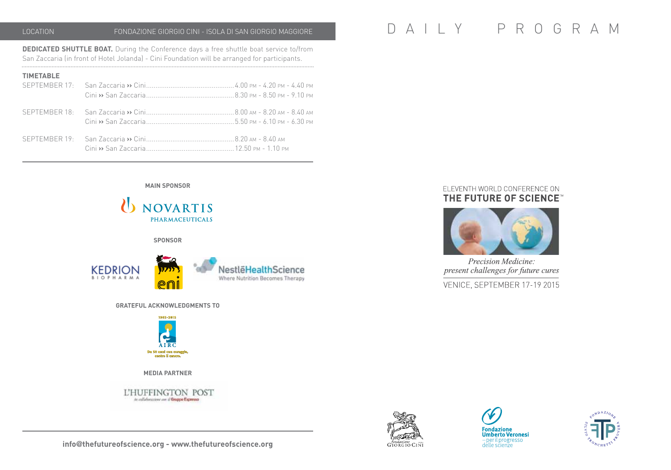**DEDICATED SHUTTLE BOAT.** During the Conference days a free shuttle boat service to/from San Zaccaria (in front of Hotel Jolanda) - Cini Foundation will be arranged for participants.

| <b>TIMETABLE</b> |  |
|------------------|--|
|                  |  |
|                  |  |
|                  |  |

# LOCATION FONDAZIONE GIORGIO CINI - ISOLA DI SAN GIORGIO MAGGIORE D A I L Y P R O G R A M

# ELEVENTH WORLD CONFERENCE ON THE FUTURE OF SCIENCE"



Precision Medicine: present challenges for future cures

VENICE, SEPTEMBER 17-19 2015







 $\mathbf{\mathcal{U}}$ NOVARTIS **PHARMACEUTICALS sponsor**

**main sponsor**



**Grateful Acknowledgments to**



**media partner**

L'HUFFINGTON POST in calleborations over if Grappo Espresso